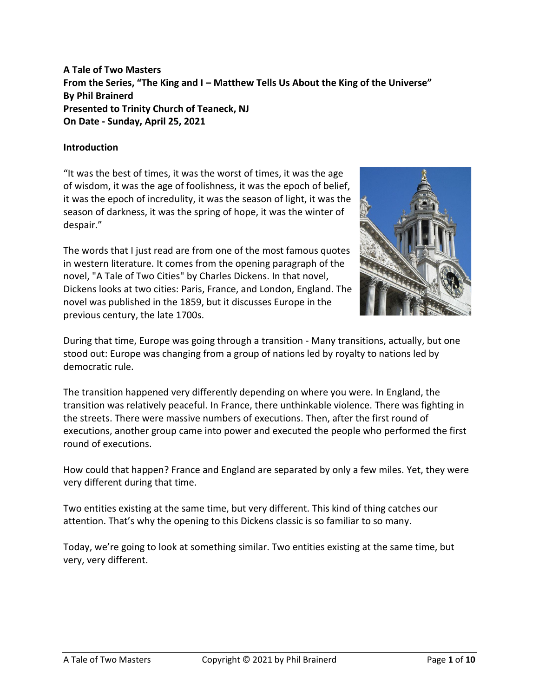# **A Tale of Two Masters From the Series, "The King and I – Matthew Tells Us About the King of the Universe" By Phil Brainerd Presented to Trinity Church of Teaneck, NJ On Date - Sunday, April 25, 2021**

### **Introduction**

"It was the best of times, it was the worst of times, it was the age of wisdom, it was the age of foolishness, it was the epoch of belief, it was the epoch of incredulity, it was the season of light, it was the season of darkness, it was the spring of hope, it was the winter of despair."

The words that I just read are from one of the most famous quotes in western literature. It comes from the opening paragraph of the novel, "A Tale of Two Cities" by Charles Dickens. In that novel, Dickens looks at two cities: Paris, France, and London, England. The novel was published in the 1859, but it discusses Europe in the previous century, the late 1700s.



During that time, Europe was going through a transition - Many transitions, actually, but one stood out: Europe was changing from a group of nations led by royalty to nations led by democratic rule.

The transition happened very differently depending on where you were. In England, the transition was relatively peaceful. In France, there unthinkable violence. There was fighting in the streets. There were massive numbers of executions. Then, after the first round of executions, another group came into power and executed the people who performed the first round of executions.

How could that happen? France and England are separated by only a few miles. Yet, they were very different during that time.

Two entities existing at the same time, but very different. This kind of thing catches our attention. That's why the opening to this Dickens classic is so familiar to so many.

Today, we're going to look at something similar. Two entities existing at the same time, but very, very different.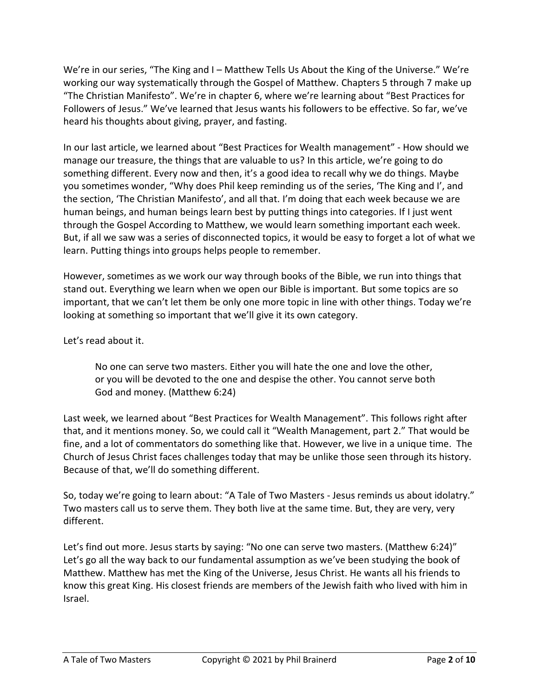We're in our series, "The King and I – Matthew Tells Us About the King of the Universe." We're working our way systematically through the Gospel of Matthew. Chapters 5 through 7 make up "The Christian Manifesto". We're in chapter 6, where we're learning about "Best Practices for Followers of Jesus." We've learned that Jesus wants his followers to be effective. So far, we've heard his thoughts about giving, prayer, and fasting.

In our last article, we learned about "Best Practices for Wealth management" - How should we manage our treasure, the things that are valuable to us? In this article, we're going to do something different. Every now and then, it's a good idea to recall why we do things. Maybe you sometimes wonder, "Why does Phil keep reminding us of the series, 'The King and I', and the section, 'The Christian Manifesto', and all that. I'm doing that each week because we are human beings, and human beings learn best by putting things into categories. If I just went through the Gospel According to Matthew, we would learn something important each week. But, if all we saw was a series of disconnected topics, it would be easy to forget a lot of what we learn. Putting things into groups helps people to remember.

However, sometimes as we work our way through books of the Bible, we run into things that stand out. Everything we learn when we open our Bible is important. But some topics are so important, that we can't let them be only one more topic in line with other things. Today we're looking at something so important that we'll give it its own category.

Let's read about it.

No one can serve two masters. Either you will hate the one and love the other, or you will be devoted to the one and despise the other. You cannot serve both God and money. (Matthew 6:24)

Last week, we learned about "Best Practices for Wealth Management". This follows right after that, and it mentions money. So, we could call it "Wealth Management, part 2." That would be fine, and a lot of commentators do something like that. However, we live in a unique time. The Church of Jesus Christ faces challenges today that may be unlike those seen through its history. Because of that, we'll do something different.

So, today we're going to learn about: "A Tale of Two Masters - Jesus reminds us about idolatry." Two masters call us to serve them. They both live at the same time. But, they are very, very different.

Let's find out more. Jesus starts by saying: "No one can serve two masters. (Matthew 6:24)" Let's go all the way back to our fundamental assumption as we've been studying the book of Matthew. Matthew has met the King of the Universe, Jesus Christ. He wants all his friends to know this great King. His closest friends are members of the Jewish faith who lived with him in Israel.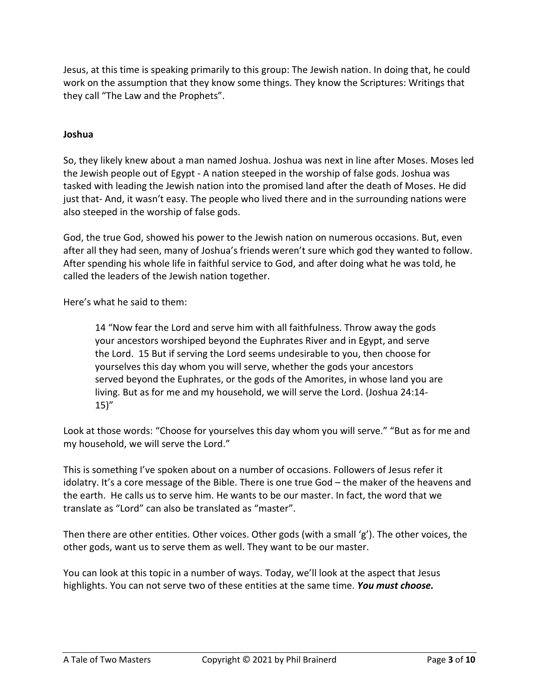Jesus, at this time is speaking primarily to this group: The Jewish nation. In doing that, he could work on the assumption that they know some things. They know the Scriptures: Writings that they call "The Law and the Prophets".

### **Joshua**

So, they likely knew about a man named Joshua. Joshua was next in line after Moses. Moses led the Jewish people out of Egypt - A nation steeped in the worship of false gods. Joshua was tasked with leading the Jewish nation into the promised land after the death of Moses. He did just that- And, it wasn't easy. The people who lived there and in the surrounding nations were also steeped in the worship of false gods.

God, the true God, showed his power to the Jewish nation on numerous occasions. But, even after all they had seen, many of Joshua's friends weren't sure which god they wanted to follow. After spending his whole life in faithful service to God, and after doing what he was told, he called the leaders of the Jewish nation together.

Here's what he said to them:

14 "Now fear the Lord and serve him with all faithfulness. Throw away the gods your ancestors worshiped beyond the Euphrates River and in Egypt, and serve the Lord. 15 But if serving the Lord seems undesirable to you, then choose for yourselves this day whom you will serve, whether the gods your ancestors served beyond the Euphrates, or the gods of the Amorites, in whose land you are living. But as for me and my household, we will serve the Lord. (Joshua 24:14-  $15)''$ 

Look at those words: "Choose for yourselves this day whom you will serve." "But as for me and my household, we will serve the Lord."

This is something I've spoken about on a number of occasions. Followers of Jesus refer it idolatry. It's a core message of the Bible. There is one true God – the maker of the heavens and the earth. He calls us to serve him. He wants to be our master. In fact, the word that we translate as "Lord" can also be translated as "master".

Then there are other entities. Other voices. Other gods (with a small 'g'). The other voices, the other gods, want us to serve them as well. They want to be our master.

You can look at this topic in a number of ways. Today, we'll look at the aspect that Jesus highlights. You can not serve two of these entities at the same time. *You must choose.*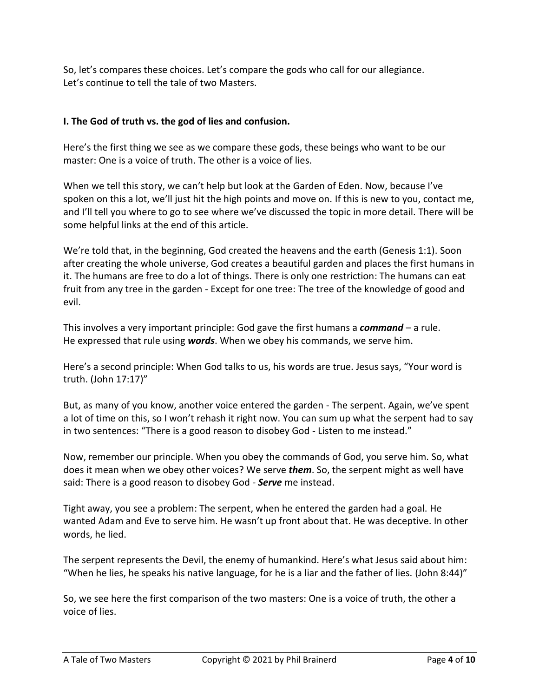So, let's compares these choices. Let's compare the gods who call for our allegiance. Let's continue to tell the tale of two Masters.

# **I. The God of truth vs. the god of lies and confusion.**

Here's the first thing we see as we compare these gods, these beings who want to be our master: One is a voice of truth. The other is a voice of lies.

When we tell this story, we can't help but look at the Garden of Eden. Now, because I've spoken on this a lot, we'll just hit the high points and move on. If this is new to you, contact me, and I'll tell you where to go to see where we've discussed the topic in more detail. There will be some helpful links at the end of this article.

We're told that, in the beginning, God created the heavens and the earth (Genesis 1:1). Soon after creating the whole universe, God creates a beautiful garden and places the first humans in it. The humans are free to do a lot of things. There is only one restriction: The humans can eat fruit from any tree in the garden - Except for one tree: The tree of the knowledge of good and evil.

This involves a very important principle: God gave the first humans a *command* – a rule. He expressed that rule using *words*. When we obey his commands, we serve him.

Here's a second principle: When God talks to us, his words are true. Jesus says, "Your word is truth. (John 17:17)"

But, as many of you know, another voice entered the garden - The serpent. Again, we've spent a lot of time on this, so I won't rehash it right now. You can sum up what the serpent had to say in two sentences: "There is a good reason to disobey God - Listen to me instead."

Now, remember our principle. When you obey the commands of God, you serve him. So, what does it mean when we obey other voices? We serve *them*. So, the serpent might as well have said: There is a good reason to disobey God - *Serve* me instead.

Tight away, you see a problem: The serpent, when he entered the garden had a goal. He wanted Adam and Eve to serve him. He wasn't up front about that. He was deceptive. In other words, he lied.

The serpent represents the Devil, the enemy of humankind. Here's what Jesus said about him: "When he lies, he speaks his native language, for he is a liar and the father of lies. (John 8:44)"

So, we see here the first comparison of the two masters: One is a voice of truth, the other a voice of lies.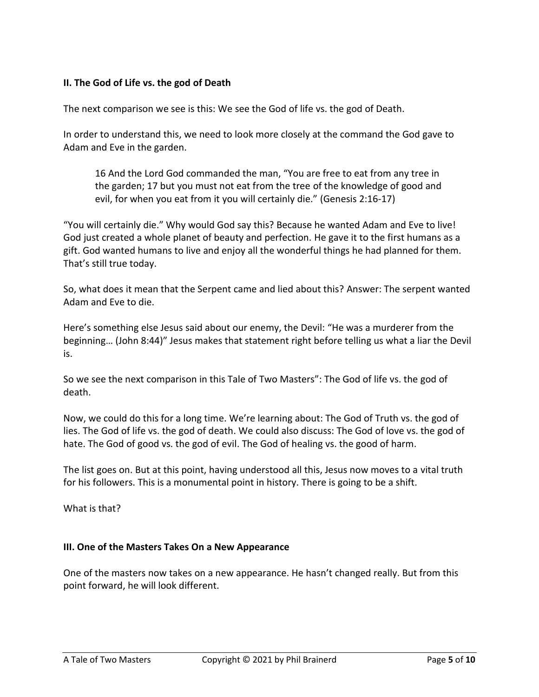## **II. The God of Life vs. the god of Death**

The next comparison we see is this: We see the God of life vs. the god of Death.

In order to understand this, we need to look more closely at the command the God gave to Adam and Eve in the garden.

16 And the Lord God commanded the man, "You are free to eat from any tree in the garden; 17 but you must not eat from the tree of the knowledge of good and evil, for when you eat from it you will certainly die." (Genesis 2:16-17)

"You will certainly die." Why would God say this? Because he wanted Adam and Eve to live! God just created a whole planet of beauty and perfection. He gave it to the first humans as a gift. God wanted humans to live and enjoy all the wonderful things he had planned for them. That's still true today.

So, what does it mean that the Serpent came and lied about this? Answer: The serpent wanted Adam and Eve to die.

Here's something else Jesus said about our enemy, the Devil: "He was a murderer from the beginning… (John 8:44)" Jesus makes that statement right before telling us what a liar the Devil is.

So we see the next comparison in this Tale of Two Masters": The God of life vs. the god of death.

Now, we could do this for a long time. We're learning about: The God of Truth vs. the god of lies. The God of life vs. the god of death. We could also discuss: The God of love vs. the god of hate. The God of good vs. the god of evil. The God of healing vs. the good of harm.

The list goes on. But at this point, having understood all this, Jesus now moves to a vital truth for his followers. This is a monumental point in history. There is going to be a shift.

What is that?

#### **III. One of the Masters Takes On a New Appearance**

One of the masters now takes on a new appearance. He hasn't changed really. But from this point forward, he will look different.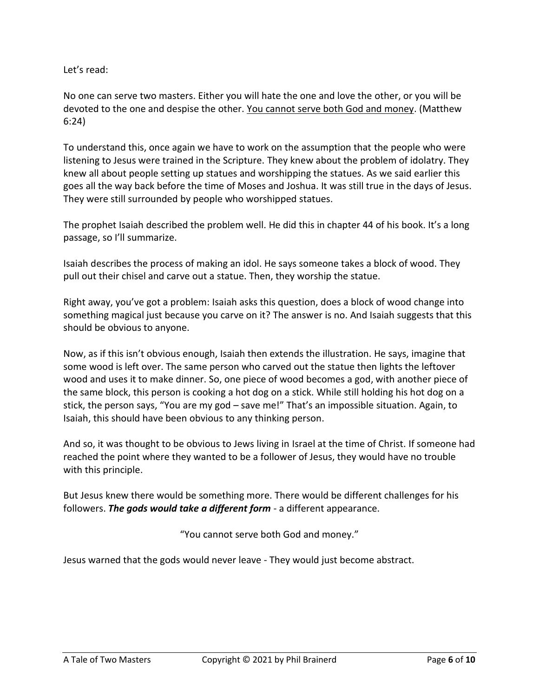Let's read:

No one can serve two masters. Either you will hate the one and love the other, or you will be devoted to the one and despise the other. You cannot serve both God and money. (Matthew 6:24)

To understand this, once again we have to work on the assumption that the people who were listening to Jesus were trained in the Scripture. They knew about the problem of idolatry. They knew all about people setting up statues and worshipping the statues. As we said earlier this goes all the way back before the time of Moses and Joshua. It was still true in the days of Jesus. They were still surrounded by people who worshipped statues.

The prophet Isaiah described the problem well. He did this in chapter 44 of his book. It's a long passage, so I'll summarize.

Isaiah describes the process of making an idol. He says someone takes a block of wood. They pull out their chisel and carve out a statue. Then, they worship the statue.

Right away, you've got a problem: Isaiah asks this question, does a block of wood change into something magical just because you carve on it? The answer is no. And Isaiah suggests that this should be obvious to anyone.

Now, as if this isn't obvious enough, Isaiah then extends the illustration. He says, imagine that some wood is left over. The same person who carved out the statue then lights the leftover wood and uses it to make dinner. So, one piece of wood becomes a god, with another piece of the same block, this person is cooking a hot dog on a stick. While still holding his hot dog on a stick, the person says, "You are my god – save me!" That's an impossible situation. Again, to Isaiah, this should have been obvious to any thinking person.

And so, it was thought to be obvious to Jews living in Israel at the time of Christ. If someone had reached the point where they wanted to be a follower of Jesus, they would have no trouble with this principle.

But Jesus knew there would be something more. There would be different challenges for his followers. *The gods would take a different form* - a different appearance.

"You cannot serve both God and money."

Jesus warned that the gods would never leave - They would just become abstract.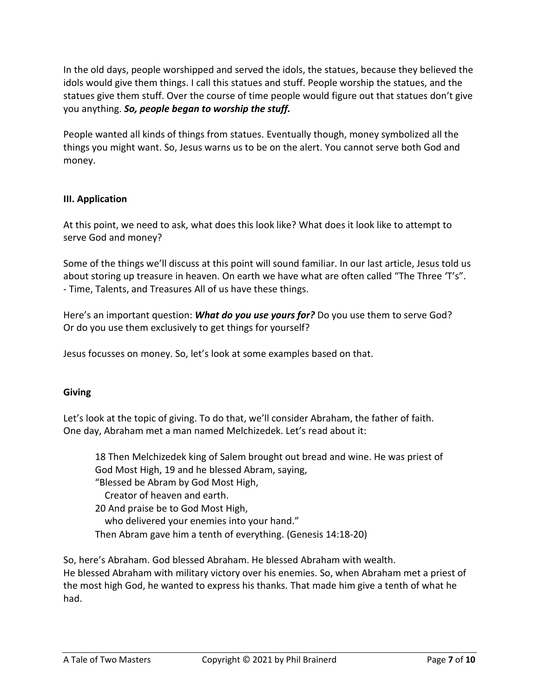In the old days, people worshipped and served the idols, the statues, because they believed the idols would give them things. I call this statues and stuff. People worship the statues, and the statues give them stuff. Over the course of time people would figure out that statues don't give you anything. *So, people began to worship the stuff.*

People wanted all kinds of things from statues. Eventually though, money symbolized all the things you might want. So, Jesus warns us to be on the alert. You cannot serve both God and money.

### **III. Application**

At this point, we need to ask, what does this look like? What does it look like to attempt to serve God and money?

Some of the things we'll discuss at this point will sound familiar. In our last article, Jesus told us about storing up treasure in heaven. On earth we have what are often called "The Three 'T's". - Time, Talents, and Treasures All of us have these things.

Here's an important question: *What do you use yours for?* Do you use them to serve God? Or do you use them exclusively to get things for yourself?

Jesus focusses on money. So, let's look at some examples based on that.

#### **Giving**

Let's look at the topic of giving. To do that, we'll consider Abraham, the father of faith. One day, Abraham met a man named Melchizedek. Let's read about it:

18 Then Melchizedek king of Salem brought out bread and wine. He was priest of God Most High, 19 and he blessed Abram, saying, "Blessed be Abram by God Most High, Creator of heaven and earth. 20 And praise be to God Most High, who delivered your enemies into your hand." Then Abram gave him a tenth of everything. (Genesis 14:18-20)

So, here's Abraham. God blessed Abraham. He blessed Abraham with wealth. He blessed Abraham with military victory over his enemies. So, when Abraham met a priest of the most high God, he wanted to express his thanks. That made him give a tenth of what he had.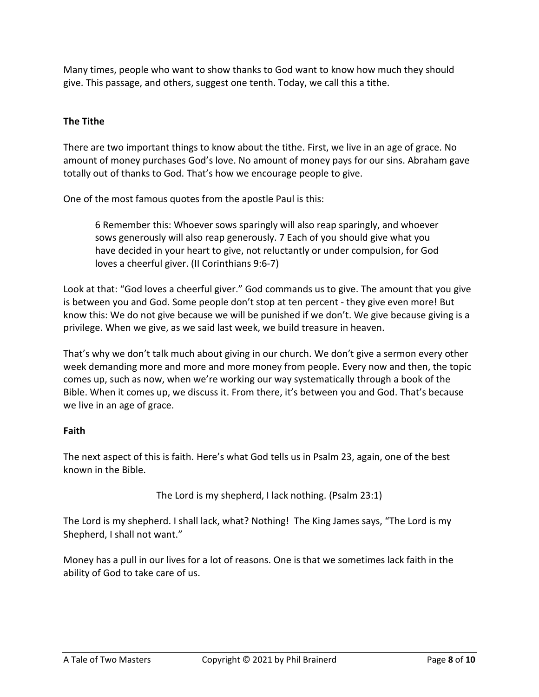Many times, people who want to show thanks to God want to know how much they should give. This passage, and others, suggest one tenth. Today, we call this a tithe.

# **The Tithe**

There are two important things to know about the tithe. First, we live in an age of grace. No amount of money purchases God's love. No amount of money pays for our sins. Abraham gave totally out of thanks to God. That's how we encourage people to give.

One of the most famous quotes from the apostle Paul is this:

6 Remember this: Whoever sows sparingly will also reap sparingly, and whoever sows generously will also reap generously. 7 Each of you should give what you have decided in your heart to give, not reluctantly or under compulsion, for God loves a cheerful giver. (II Corinthians 9:6-7)

Look at that: "God loves a cheerful giver." God commands us to give. The amount that you give is between you and God. Some people don't stop at ten percent - they give even more! But know this: We do not give because we will be punished if we don't. We give because giving is a privilege. When we give, as we said last week, we build treasure in heaven.

That's why we don't talk much about giving in our church. We don't give a sermon every other week demanding more and more and more money from people. Every now and then, the topic comes up, such as now, when we're working our way systematically through a book of the Bible. When it comes up, we discuss it. From there, it's between you and God. That's because we live in an age of grace.

## **Faith**

The next aspect of this is faith. Here's what God tells us in Psalm 23, again, one of the best known in the Bible.

The Lord is my shepherd, I lack nothing. (Psalm 23:1)

The Lord is my shepherd. I shall lack, what? Nothing! The King James says, "The Lord is my Shepherd, I shall not want."

Money has a pull in our lives for a lot of reasons. One is that we sometimes lack faith in the ability of God to take care of us.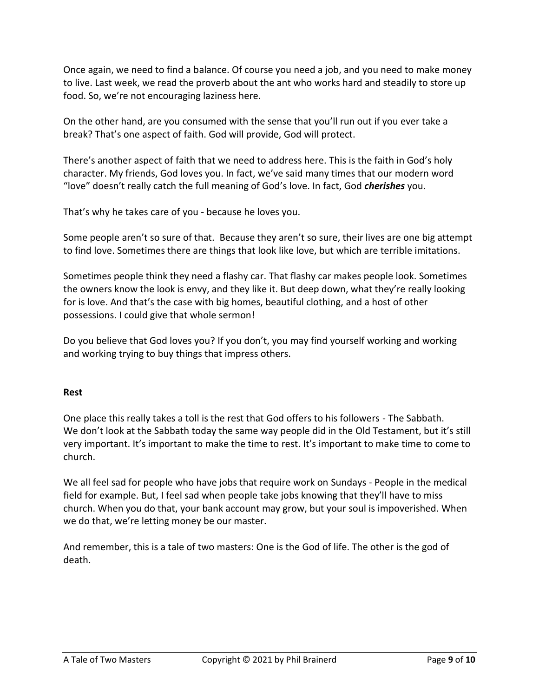Once again, we need to find a balance. Of course you need a job, and you need to make money to live. Last week, we read the proverb about the ant who works hard and steadily to store up food. So, we're not encouraging laziness here.

On the other hand, are you consumed with the sense that you'll run out if you ever take a break? That's one aspect of faith. God will provide, God will protect.

There's another aspect of faith that we need to address here. This is the faith in God's holy character. My friends, God loves you. In fact, we've said many times that our modern word "love" doesn't really catch the full meaning of God's love. In fact, God *cherishes* you.

That's why he takes care of you - because he loves you.

Some people aren't so sure of that. Because they aren't so sure, their lives are one big attempt to find love. Sometimes there are things that look like love, but which are terrible imitations.

Sometimes people think they need a flashy car. That flashy car makes people look. Sometimes the owners know the look is envy, and they like it. But deep down, what they're really looking for is love. And that's the case with big homes, beautiful clothing, and a host of other possessions. I could give that whole sermon!

Do you believe that God loves you? If you don't, you may find yourself working and working and working trying to buy things that impress others.

## **Rest**

One place this really takes a toll is the rest that God offers to his followers - The Sabbath. We don't look at the Sabbath today the same way people did in the Old Testament, but it's still very important. It's important to make the time to rest. It's important to make time to come to church.

We all feel sad for people who have jobs that require work on Sundays - People in the medical field for example. But, I feel sad when people take jobs knowing that they'll have to miss church. When you do that, your bank account may grow, but your soul is impoverished. When we do that, we're letting money be our master.

And remember, this is a tale of two masters: One is the God of life. The other is the god of death.